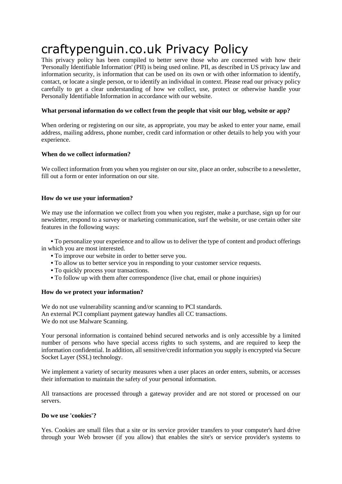# craftypenguin.co.uk Privacy Policy

This privacy policy has been compiled to better serve those who are concerned with how their 'Personally Identifiable Information' (PII) is being used online. PII, as described in US privacy law and information security, is information that can be used on its own or with other information to identify, contact, or locate a single person, or to identify an individual in context. Please read our privacy policy carefully to get a clear understanding of how we collect, use, protect or otherwise handle your Personally Identifiable Information in accordance with our website.

## **What personal information do we collect from the people that visit our blog, website or app?**

When ordering or registering on our site, as appropriate, you may be asked to enter your name, email address, mailing address, phone number, credit card information or other details to help you with your experience.

## **When do we collect information?**

We collect information from you when you register on our site, place an order, subscribe to a new sletter, fill out a form or enter information on our site.

## **How do we use your information?**

We may use the information we collect from you when you register, make a purchase, sign up for our newsletter, respond to a survey or marketing communication, surf the website, or use certain other site features in the following ways:

 **•** To personalize your experience and to allow us to deliver the type of content and product offerings in which you are most interested.

- **•** To improve our website in order to better serve you.
- To allow us to better service you in responding to your customer service requests.
- **•** To quickly process your transactions.
- **•** To follow up with them after correspondence (live chat, email or phone inquiries)

## **How do we protect your information?**

We do not use vulnerability scanning and/or scanning to PCI standards. An external PCI compliant payment gateway handles all CC transactions. We do not use Malware Scanning.

Your personal information is contained behind secured networks and is only accessible by a limited number of persons who have special access rights to such systems, and are required to keep the information confidential. In addition, all sensitive/credit information you supply is encrypted via Secure Socket Layer (SSL) technology.

We implement a variety of security measures when a user places an order enters, submits, or accesses their information to maintain the safety of your personal information.

All transactions are processed through a gateway provider and are not stored or processed on our servers.

## **Do we use 'cookies'?**

Yes. Cookies are small files that a site or its service provider transfers to your computer's hard drive through your Web browser (if you allow) that enables the site's or service provider's systems to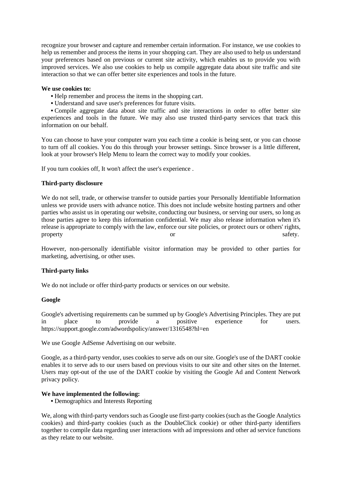recognize your browser and capture and remember certain information. For instance, we use cookies to help us remember and process the items in your shopping cart. They are also used to help us understand your preferences based on previous or current site activity, which enables us to provide you with improved services. We also use cookies to help us compile aggregate data about site traffic and site interaction so that we can offer better site experiences and tools in the future.

#### **We use cookies to:**

- **•** Help remember and process the items in the shopping cart.
- **•** Understand and save user's preferences for future visits.

 **•** Compile aggregate data about site traffic and site interactions in order to offer better site experiences and tools in the future. We may also use trusted third-party services that track this information on our behalf.

You can choose to have your computer warn you each time a cookie is being sent, or you can choose to turn off all cookies. You do this through your browser settings. Since browser is a little different, look at your browser's Help Menu to learn the correct way to modify your cookies.

If you turn cookies off, It won't affect the user's experience .

#### **Third-party disclosure**

We do not sell, trade, or otherwise transfer to outside parties your Personally Identifiable Information unless we provide users with advance notice. This does not include website hosting partners and other parties who assist us in operating our website, conducting our business, or serving our users, so long as those parties agree to keep this information confidential. We may also release information when it's release is appropriate to comply with the law, enforce our site policies, or protect ours or others' rights, property safety.

However, non-personally identifiable visitor information may be provided to other parties for marketing, advertising, or other uses.

## **Third-party links**

We do not include or offer third-party products or services on our website.

#### **Google**

Google's advertising requirements can be summed up by Google's Advertising Principles. They are put in place to provide a positive experience for users. https://support.google.com/adwordspolicy/answer/1316548?hl=en

We use Google AdSense Advertising on our website.

Google, as a third-party vendor, uses cookies to serve ads on our site. Google's use of the DART cookie enables it to serve ads to our users based on previous visits to our site and other sites on the Internet. Users may opt-out of the use of the DART cookie by visiting the Google Ad and Content Network privacy policy.

## **We have implemented the following:**

**•** Demographics and Interests Reporting

We, along with third-party vendors such as Google use first-party cookies (such as the Google Analytics cookies) and third-party cookies (such as the DoubleClick cookie) or other third-party identifiers together to compile data regarding user interactions with ad impressions and other ad service functions as they relate to our website.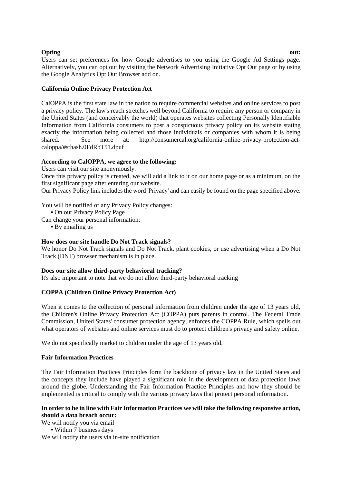## **Opting out:**  $\qquad \qquad \text{out:}$

Users can set preferences for how Google advertises to you using the Google Ad Settings page. Alternatively, you can opt out by visiting the Network Advertising Initiative Opt Out page or by using the Google Analytics Opt Out Browser add on.

# **California Online Privacy Protection Act**

CalOPPA is the first state law in the nation to require commercial websites and online services to post a privacy policy. The law's reach stretches well beyond California to require any person or company in the United States (and conceivably the world) that operates websites collecting Personally Identifiable Information from California consumers to post a conspicuous privacy policy on its website stating exactly the information being collected and those individuals or companies with whom it is being shared. - See more at: http://consumercal.org/california-online-privacy-protection-actcaloppa/#sthash.0FdRbT51.dpuf

# **According to CalOPPA, we agree to the following:**

Users can visit our site anonymously.

Once this privacy policy is created, we will add a link to it on our home page or as a minimum, on the first significant page after entering our website.

Our Privacy Policy link includes the word 'Privacy' and can easily be found on the page specified above.

You will be notified of any Privacy Policy changes:

- **•** On our Privacy Policy Page
- Can change your personal information:
	- **•** By emailing us

## **How does our site handle Do Not Track signals?**

We honor Do Not Track signals and Do Not Track, plant cookies, or use advertising when a Do Not Track (DNT) browser mechanism is in place.

# **Does our site allow third-party behavioral tracking?**

It's also important to note that we do not allow third-party behavioral tracking

# **COPPA (Children Online Privacy Protection Act)**

When it comes to the collection of personal information from children under the age of 13 years old, the Children's Online Privacy Protection Act (COPPA) puts parents in control. The Federal Trade Commission, United States' consumer protection agency, enforces the COPPA Rule, which spells out what operators of websites and online services must do to protect children's privacy and safety online.

We do not specifically market to children under the age of 13 years old.

# **Fair Information Practices**

The Fair Information Practices Principles form the backbone of privacy law in the United States and the concepts they include have played a significant role in the development of data protection laws around the globe. Understanding the Fair Information Practice Principles and how they should be implemented is critical to comply with the various privacy laws that protect personal information.

# **In order to be in line with Fair Information Practices we will take the following responsive action, should a data breach occur:**

We will notify you via email **•** Within 7 business days We will notify the users via in-site notification